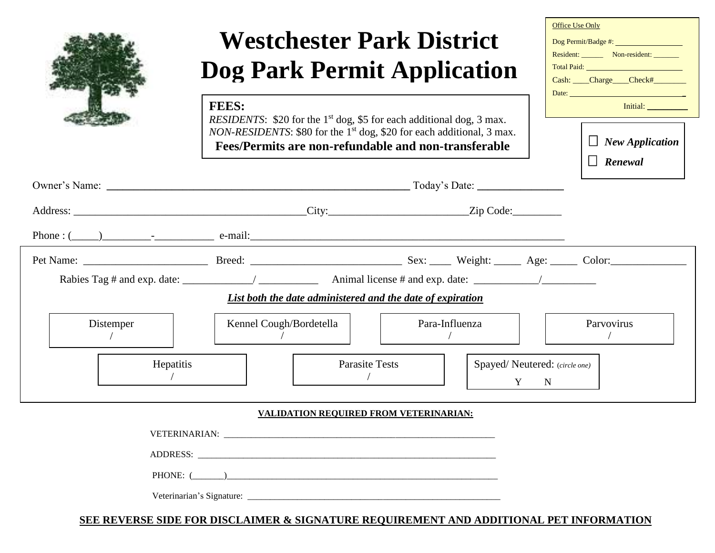**FEES:**

## **Westchester Park District Dog Park Permit Application**

*RESIDENTS*: \$20 for the 1<sup>st</sup> dog, \$5 for each additional dog, 3 max. *NON-RESIDENTS*: \$80 for the 1<sup>st</sup> dog, \$20 for each additional, 3 max. **Fees/Permits are non-refundable and non-transferable**

| Initial:<br>$\Box$ New Application |
|------------------------------------|
|                                    |
| $\Box$ Renewal                     |
|                                    |
|                                    |

Office Use Only

|                        | List both the date administered and the date of expiration |                                                 |            |
|------------------------|------------------------------------------------------------|-------------------------------------------------|------------|
| Distemper<br>Hepatitis | Kennel Cough/Bordetella<br><b>Parasite Tests</b>           | Para-Influenza<br>Spayed/Neutered: (circle one) | Parvovirus |
|                        |                                                            | Y N                                             |            |

## **VALIDATION REQUIRED FROM VETERINARIAN:**

| ADDRESS: |  |  |
|----------|--|--|
|          |  |  |
|          |  |  |

## **SEE REVERSE SIDE FOR DISCLAIMER & SIGNATURE REQUIREMENT AND ADDITIONAL PET INFORMATION**